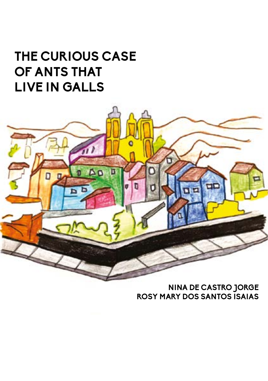# **THE CURIOUS CASE OF ANTS THAT LIVE IN GALLS**



**NINA DE CASTRO JORGE ROSY MARY DOS SANTOS ISAIAS**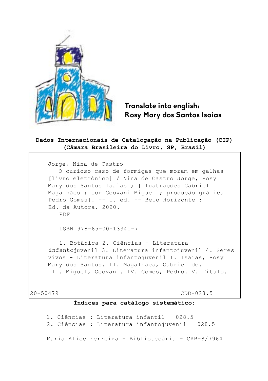

### **Translate into english: Rosy Mary dos Santos Isaias**

#### **Dados Internacionais de Catalogação na Publicação (CIP) (Câmara Brasileira do Livro, SP, Brasil)**

Jorge, Nina de Castro O curioso caso de formigas que moram em galhas [livro eletrônico] / Nina de Castro Jorge, Rosy Mary dos Santos Isaias ; [ilustrações Gabriel Magalhães ; cor Geovani Miguel ; produção gráfica Pedro Gomes]. -- 1. ed. -- Belo Horizonte : Ed. da Autora, 2020. PDF ISBN 978-65-00-13341-7 1. Botânica 2. Ciências - Literatura infantojuvenil 3. Literatura infantojuvenil 4. Seres vivos - Literatura infantojuvenil I. Isaias, Rosy Mary dos Santos. II. Magalhães, Gabriel de. III. Miguel, Geovani. IV. Gomes, Pedro. V. Título.

20-50479 CDD-028.5

#### **Índices para catálogo sistemático:**

1. Ciências : Literatura infantil 028.5 2. Ciências : Literatura infantojuvenil 028.5 Maria Alice Ferreira - Bibliotecária - CRB-8/7964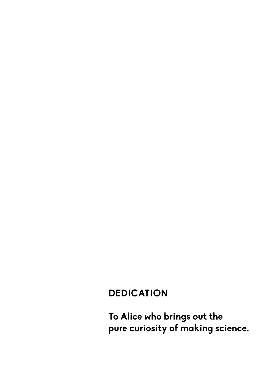### **DEDICATION**

**To Alice who brings out the pure curiosity of making science.**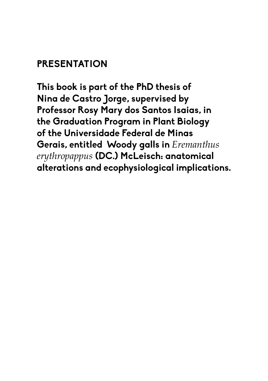### **PRESENTATION**

**This book is part of the PhD thesis of Nina de Castro Jorge, supervised by Professor Rosy Mary dos Santos Isaias, in the Graduation Program in Plant Biology of the Universidade Federal de Minas Gerais, entitled "Woody galls in** *Eremanthus erythropappus* **(DC.) McLeisch: anatomical alterations and ecophysiological implications.**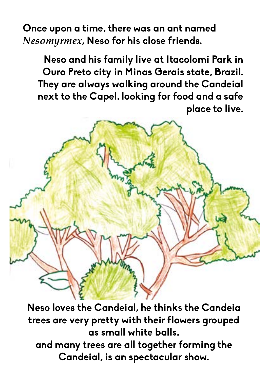**Once upon a time, there was an ant named**  *Nesomyrmex***, Neso for his close friends.**

**Neso and his family live at Itacolomi Park in Ouro Preto city in Minas Gerais state, Brazil. They are always walking around the Candeial next to the Capel, looking for food and a safe place to live.**

**Neso loves the Candeial, he thinks the Candeia trees are very pretty with their flowers grouped as small white balls, and many trees are all together forming the Candeial, is an spectacular show.**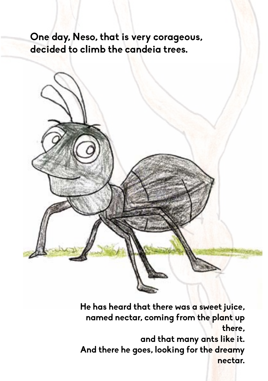**One day, Neso, that is very corageous, decided to climb the candeia trees.**



**He has heard that there was a sweet juice, named nectar, coming from the plant up there,** 

**and that many ants like it. And there he goes, looking for the dreamy nectar.**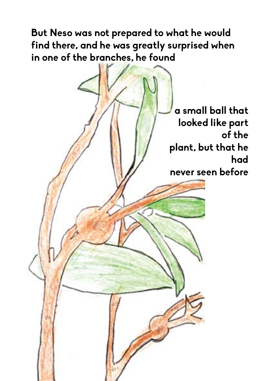**But Neso was not prepared to what he would find there, and he was greatly surprised when in one of the branches, he found** 

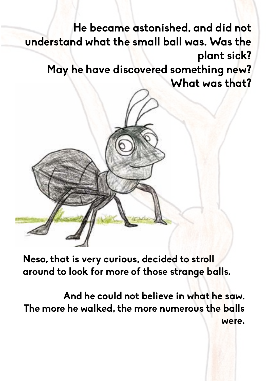**He became astonished, and did not understand what the small ball was. Was the plant sick? May he have discovered something new? What was that?**

**Neso, that is very curious, decided to stroll around to look for more of those strange balls.**

**And he could not believe in what he saw. The more he walked, the more numerous the balls were.**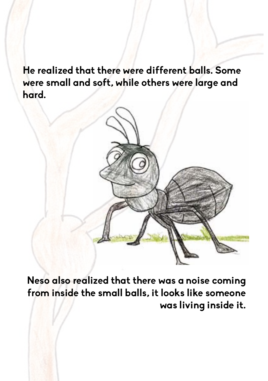**He realized that there were different balls. Some were small and soft, while others were large and hard.**



**Neso also realized that there was a noise coming from inside the small balls, it looks like someone was living inside it.**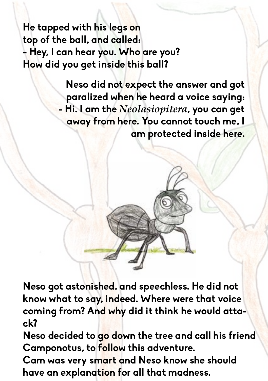**He tapped with his legs on top of the ball, and called: - Hey, I can hear you. Who are you? How did you get inside this ball?**

> **Neso did not expect the answer and got paralized when he heard a voice saying: - Hi. I am the** *Neolasiopitera***, you can get away from here. You cannot touch me, I am protected inside here.**

**Neso got astonished, and speechless. He did not know what to say, indeed. Where were that voice coming from? And why did it think he would attack?**

**Neso decided to go down the tree and call his friend Camponotus, to follow this adventure.**

**Cam was very smart and Neso know she should have an explanation for all that madness.**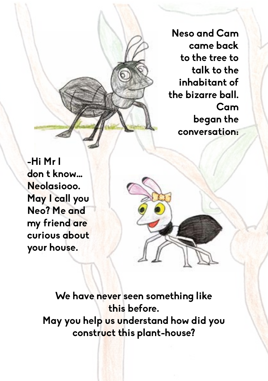**Neso and Cam came back to the tree to talk to the inhabitant of the bizarre ball. Cam began the conversation:**

**-Hi Mr I don t know… Neolasiooo. May I call you Neo? Me and my friend are curious about your house.**

> **We have never seen something like this before. May you help us understand how did you construct this plant-house?**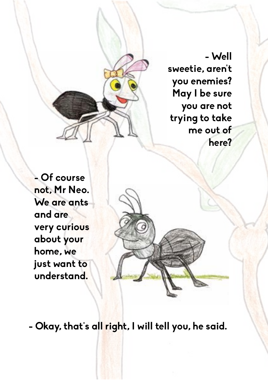**- Well sweetie, aren't you enemies? May I be sure you are not trying to take me out of here?**

**- Of course not, Mr Neo. We are ants and are very curious about your home, we just want to understand.**

**- Okay, that's all right, I will tell you, he said.**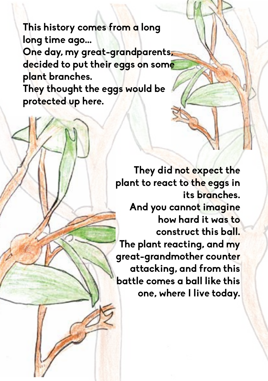**This history comes from a long long time ago... One day, my great-grandparents, decided to put their eggs on some plant branches. They thought the eggs would be protected up here.**

> **They did not expect the plant to react to the eggs in its branches. And you cannot imagine how hard it was to construct this ball. The plant reacting, and my great-grandmother counter attacking, and from this battle comes a ball like this one, where I live today.**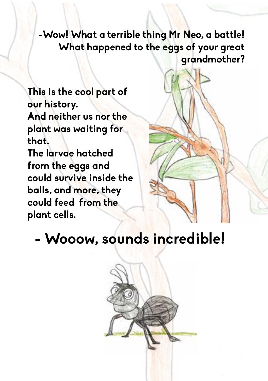**-Wow! What a terrible thing Mr Neo, a battle! What happened to the eggs of your great grandmother?**

**This is the cool part of our history. And neither us nor the plant was waiting for that. The larvae hatched from the eggs and could survive inside the balls, and more, they could feed from the plant cells.**



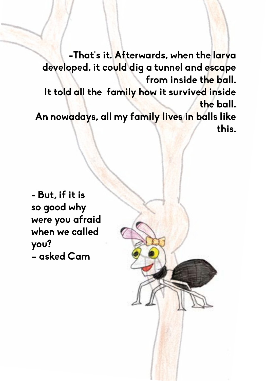**-That's it. Afterwards, when the larva developed, it could dig a tunnel and escape from inside the ball. It told all the family how it survived inside the ball. An nowadays, all my family lives in balls like this.**

**- But, if it is so good why were you afraid when we called you? – asked Cam**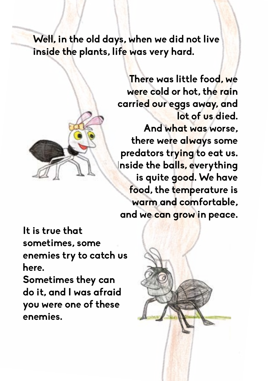**Well, in the old days, when we did not live inside the plants, life was very hard.**



**There was little food, we were cold or hot, the rain carried our eggs away, and lot of us died. And what was worse, there were always some predators trying to eat us. Inside the balls, everything is quite good. We have food, the temperature is warm and comfortable, and we can grow in peace.**

**It is true that sometimes, some enemies try to catch us here.**

**Sometimes they can do it, and I was afraid you were one of these enemies.**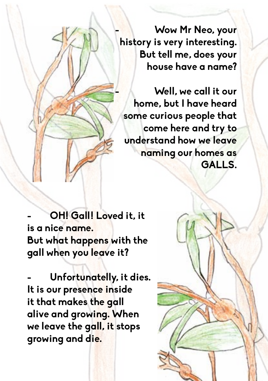**- Wow Mr Neo, your history is very interesting. But tell me, does your house have a name?**

**- Well, we call it our home, but I have heard some curious people that come here and try to understand how we leave naming our homes as GALLS.**

**- OH! Gall! Loved it, it is a nice name. But what happens with the gall when you leave it?**

**- Unfortunatelly, it dies. It is our presence inside it that makes the gall alive and growing. When we leave the gall, it stops growing and die.**

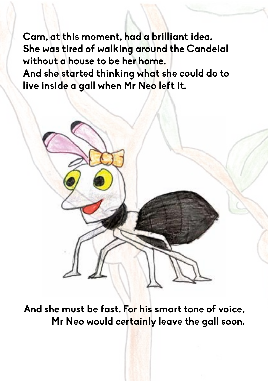**Cam, at this moment, had a brilliant idea. She was tired of walking around the Candeial without a house to be her home.**

**And she started thinking what she could do to live inside a gall when Mr Neo left it.**



**And she must be fast. For his smart tone of voice, Mr Neo would certainly leave the gall soon.**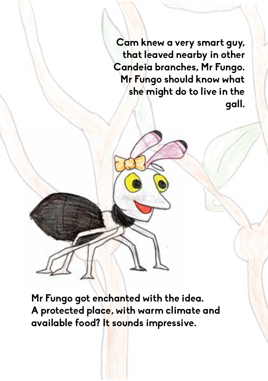**Cam knew a very smart guy, that leaved nearby in other Candeia branches, Mr Fungo. Mr Fungo should know what she might do to live in the gall.**

**Mr Fungo got enchanted with the idea. A protected place, with warm climate and available food? It sounds impressive.**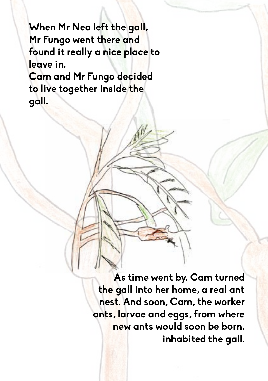**When Mr Neo left the gall, Mr Fungo went there and found it really a nice place to leave in. Cam and Mr Fungo decided to live together inside the gall.**

> **As time went by, Cam turned the gall into her home, a real ant nest. And soon, Cam, the worker ants, larvae and eggs, from where new ants would soon be born, inhabited the gall.**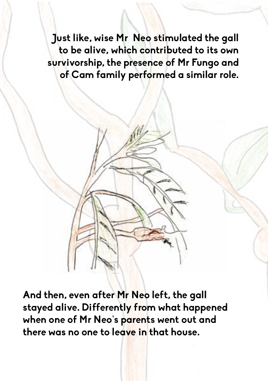**Just like, wise Mr Neo stimulated the gall to be alive, which contributed to its own survivorship, the presence of Mr Fungo and of Cam family performed a similar role.**

**And then, even after Mr Neo left, the gall stayed alive. Differently from what happened when one of Mr Neo's parents went out and there was no one to leave in that house.**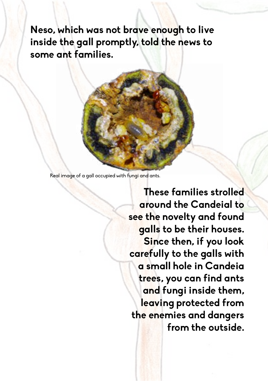**Neso, which was not brave enough to live inside the gall promptly, told the news to some ant families.** 

Real image of a gall occupied with fungi and ants.

**These families strolled around the Candeial to see the novelty and found galls to be their houses. Since then, if you look carefully to the galls with a small hole in Candeia trees, you can find ants and fungi inside them, leaving protected from the enemies and dangers from the outside.**